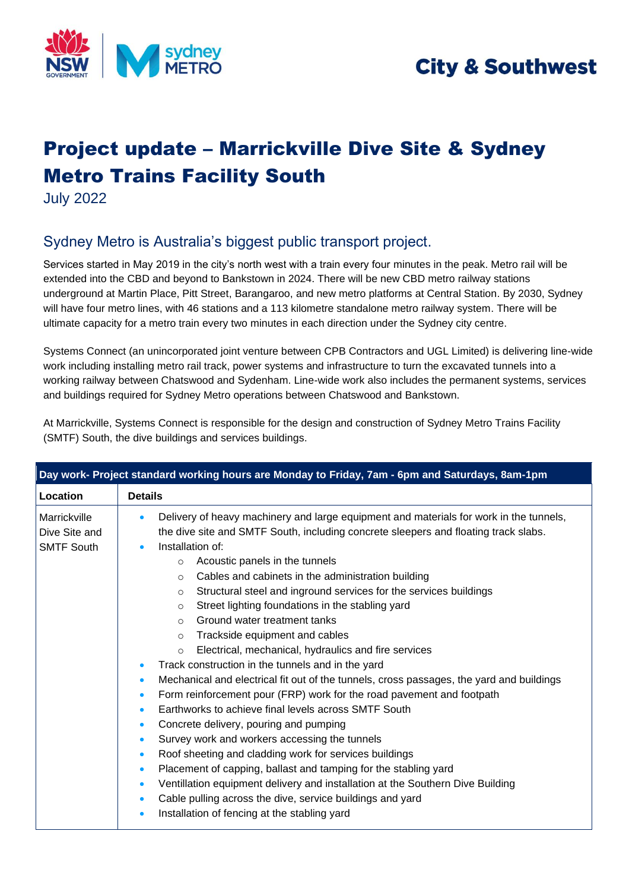

## **City & Southwest**

# Project update – Marrickville Dive Site & Sydney Metro Trains Facility South

July 2022

## Sydney Metro is Australia's biggest public transport project.

Services started in May 2019 in the city's north west with a train every four minutes in the peak. Metro rail will be extended into the CBD and beyond to Bankstown in 2024. There will be new CBD metro railway stations underground at Martin Place, Pitt Street, Barangaroo, and new metro platforms at Central Station. By 2030, Sydney will have four metro lines, with 46 stations and a 113 kilometre standalone metro railway system. There will be ultimate capacity for a metro train every two minutes in each direction under the Sydney city centre.

Systems Connect (an unincorporated joint venture between CPB Contractors and UGL Limited) is delivering line-wide work including installing metro rail track, power systems and infrastructure to turn the excavated tunnels into a working railway between Chatswood and Sydenham. Line-wide work also includes the permanent systems, services and buildings required for Sydney Metro operations between Chatswood and Bankstown.

| At Marrickville, Systems Connect is responsible for the design and construction of Sydney Metro Trains Facility |  |
|-----------------------------------------------------------------------------------------------------------------|--|
| (SMTF) South, the dive buildings and services buildings.                                                        |  |

| Day work- Project standard working hours are Monday to Friday, 7am - 6pm and Saturdays, 8am-1pm |                                                                                                                                                                                                                                                                                                                                                                                                                                                                                                                                                                                                                                                                                                                                                                                                                                                                                                                                                                                           |  |  |  |  |
|-------------------------------------------------------------------------------------------------|-------------------------------------------------------------------------------------------------------------------------------------------------------------------------------------------------------------------------------------------------------------------------------------------------------------------------------------------------------------------------------------------------------------------------------------------------------------------------------------------------------------------------------------------------------------------------------------------------------------------------------------------------------------------------------------------------------------------------------------------------------------------------------------------------------------------------------------------------------------------------------------------------------------------------------------------------------------------------------------------|--|--|--|--|
| Location                                                                                        | <b>Details</b>                                                                                                                                                                                                                                                                                                                                                                                                                                                                                                                                                                                                                                                                                                                                                                                                                                                                                                                                                                            |  |  |  |  |
| Marrickville<br>Dive Site and<br><b>SMTF South</b>                                              | Delivery of heavy machinery and large equipment and materials for work in the tunnels,<br>$\bullet$<br>the dive site and SMTF South, including concrete sleepers and floating track slabs.<br>Installation of:<br>$\bullet$<br>Acoustic panels in the tunnels<br>$\circ$<br>Cables and cabinets in the administration building<br>$\circ$<br>Structural steel and inground services for the services buildings<br>$\circ$<br>Street lighting foundations in the stabling yard<br>$\circ$<br>Ground water treatment tanks<br>$\circ$<br>Trackside equipment and cables<br>$\circ$<br>Electrical, mechanical, hydraulics and fire services<br>$\circ$<br>Track construction in the tunnels and in the yard<br>$\bullet$<br>Mechanical and electrical fit out of the tunnels, cross passages, the yard and buildings<br>$\bullet$<br>Form reinforcement pour (FRP) work for the road pavement and footpath<br>$\bullet$<br>Earthworks to achieve final levels across SMTF South<br>$\bullet$ |  |  |  |  |
|                                                                                                 | Concrete delivery, pouring and pumping<br>$\bullet$<br>Survey work and workers accessing the tunnels<br>$\bullet$<br>Roof sheeting and cladding work for services buildings<br>$\bullet$<br>Placement of capping, ballast and tamping for the stabling yard<br>$\bullet$<br>Ventillation equipment delivery and installation at the Southern Dive Building<br>$\bullet$<br>Cable pulling across the dive, service buildings and yard<br>$\bullet$<br>Installation of fencing at the stabling yard<br>$\bullet$                                                                                                                                                                                                                                                                                                                                                                                                                                                                            |  |  |  |  |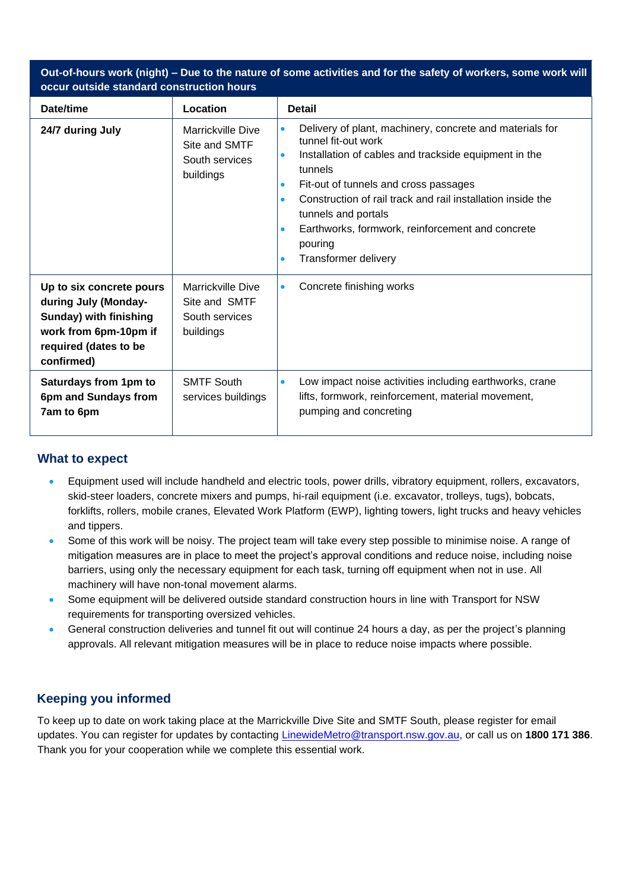| Out-of-hours work (night) – Due to the nature of some activities and for the safety of workers, some work will<br>occur outside standard construction hours |                                                                          |                                                                                                                                                                                                                                                                                                                                                                                                                                                         |  |  |
|-------------------------------------------------------------------------------------------------------------------------------------------------------------|--------------------------------------------------------------------------|---------------------------------------------------------------------------------------------------------------------------------------------------------------------------------------------------------------------------------------------------------------------------------------------------------------------------------------------------------------------------------------------------------------------------------------------------------|--|--|
| Date/time                                                                                                                                                   | Location                                                                 | <b>Detail</b>                                                                                                                                                                                                                                                                                                                                                                                                                                           |  |  |
| 24/7 during July                                                                                                                                            | Marrickville Dive<br>Site and SMTF<br>South services<br>buildings        | Delivery of plant, machinery, concrete and materials for<br>$\bullet$<br>tunnel fit-out work<br>Installation of cables and trackside equipment in the<br>$\bullet$<br>tunnels<br>Fit-out of tunnels and cross passages<br>$\bullet$<br>Construction of rail track and rail installation inside the<br>$\bullet$<br>tunnels and portals<br>Earthworks, formwork, reinforcement and concrete<br>$\bullet$<br>pouring<br>Transformer delivery<br>$\bullet$ |  |  |
| Up to six concrete pours<br>during July (Monday-<br><b>Sunday) with finishing</b><br>work from 6pm-10pm if<br>required (dates to be<br>confirmed)           | <b>Marrickville Dive</b><br>Site and SMTF<br>South services<br>buildings | Concrete finishing works<br>$\bullet$                                                                                                                                                                                                                                                                                                                                                                                                                   |  |  |
| Saturdays from 1pm to<br>6pm and Sundays from<br>7am to 6pm                                                                                                 | <b>SMTF South</b><br>services buildings                                  | Low impact noise activities including earthworks, crane<br>$\bullet$<br>lifts, formwork, reinforcement, material movement,<br>pumping and concreting                                                                                                                                                                                                                                                                                                    |  |  |

#### **What to expect**

- Equipment used will include handheld and electric tools, power drills, vibratory equipment, rollers, excavators, skid-steer loaders, concrete mixers and pumps, hi-rail equipment (i.e. excavator, trolleys, tugs), bobcats, forklifts, rollers, mobile cranes, Elevated Work Platform (EWP), lighting towers, light trucks and heavy vehicles and tippers.
- Some of this work will be noisy. The project team will take every step possible to minimise noise. A range of mitigation measures are in place to meet the project's approval conditions and reduce noise, including noise barriers, using only the necessary equipment for each task, turning off equipment when not in use. All machinery will have non-tonal movement alarms.
- Some equipment will be delivered outside standard construction hours in line with Transport for NSW requirements for transporting oversized vehicles.
- General construction deliveries and tunnel fit out will continue 24 hours a day, as per the project's planning approvals. All relevant mitigation measures will be in place to reduce noise impacts where possible.

### **Keeping you informed**

To keep up to date on work taking place at the Marrickville Dive Site and SMTF South, please register for email updates. You can register for updates by contacting [LinewideMetro@transport.nsw.gov.au,](mailto:LinewideMetro@transport.nsw.gov.au) or call us on **1800 171 386**. Thank you for your cooperation while we complete this essential work.